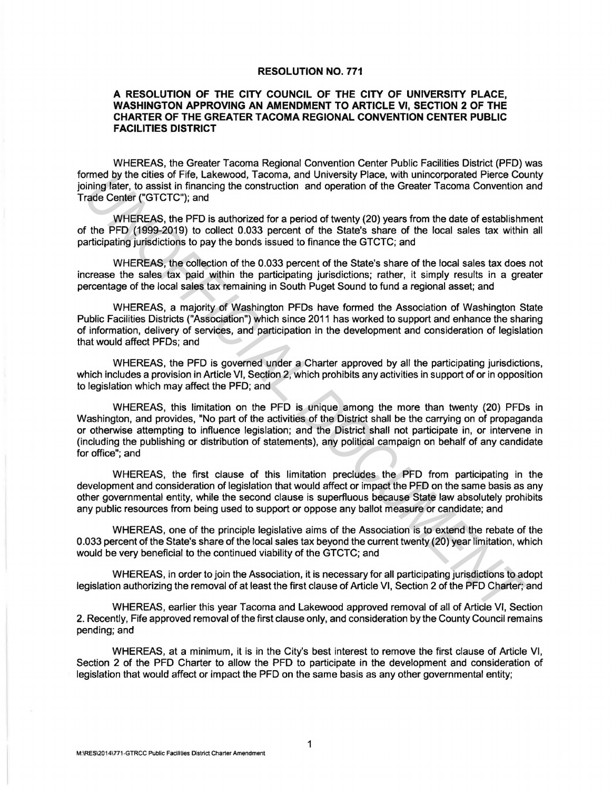## RESOLUTION NO. 771

## A RESOLUTION OF THE CITY COUNCIL OF THE CITY OF UNIVERSITY PLACE, WASHINGTON APPROVING AN AMENDMENT TO ARTICLE VI, SECTION 2 OF THE CHARTER OF THE GREATER TACOMA REGIONAL CONVENTION CENTER PUBLIC FACILITIES DISTRICT

WHEREAS, the Greater Tacoma Regional Convention Center Public Facilities District (PFD) was formed by the cities of Fife, Lakewood, Tacoma, and University Place, with unincorporated Pierce County joining later, to assist in financing the construction and operation of the Greater Tacoma Convention and Trade Center ("GTCTC"); and

WHEREAS, the PFD is authorized for a period of twenty (20) years from the date of establishment of the PFD (1999-2019) to collect 0.033 percent of the State's share of the local sales tax within all participating jurisdictions to pay the bonds issued to finance the GTCTC; and

WHEREAS, the collection of the 0.033 percent of the State's share of the local sales tax does not increase the sales tax paid within the participating jurisdictions; rather, it simply results in a greater percentage of the local sales tax remaining in South Puget Sound to fund a regional asset; and

WHEREAS, a majority of Washington PFDs have formed the Association of Washington State Public Facilities Districts ("Association") which since 2011 has worked to support and enhance the sharing of information, delivery of services, and participation in the development and consideration of legislation that would affect PFDs; and

WHEREAS, the PFD is governed under a Charter approved by all the participating jurisdictions, which includes a provision in Article VI, Section 2, which prohibits any activities in support of or in opposition to legislation which may affect the PFD; and

WHEREAS, this limitation on the PFD is unique among the more than twenty (20) PFDs in Washington, and provides, "No part of the activities of the District shall be the carrying on of propaganda or otherwise attempting to influence legislation; and the District shall not participate in, or intervene in (including the publishing or distribution of statements), any political campaign on behalf of any candidate for office"; and mente by the crites of 1<sup>-11</sup>R. Lakewood, lacema, and University Place, with unncorporated Pierce Constant infinite Center ("GTCTC"); and<br>thing fater, to assist in financing the construction and operation of the Greater Ta

WHEREAS, the first clause of this limitation precludes the PFD from participating in the development and consideration of legislation that would affect or impact the PFD on the same basis as any other governmental entity, while the second clause is superfluous because State law absolutely prohibits any public resources from being used to support or oppose any ballot measure or candidate; and

WHEREAS, one of the principle legislative aims of the Association is to extend the rebate of the 0.033 percent of the State's share of the local sales tax beyond the current twenty (20) year limitation, which would be very beneficial to the continued viability of the GTCTC; and

WHEREAS, in order to join the Association, it is necessary for all participating jurisdictions to adopt legislation authorizing the removal of at least the first clause of Article VI, Section 2 of the PFD Charter'; and

WHEREAS, earlier this year Tacoma and Lakewood approved removal of all of Article VI, Section 2. Recently, Fife approved removal of the first clause only, and consideration by the County Council remains pending; and

WHEREAS, at a minimum, it is in the City's best interest to remove the first clause of Article VI, Section 2 of the PFD Charter to allow the PFD to participate in the development and consideration of legislation that would affect or impact the PFD on the same basis as any other governmental entity;